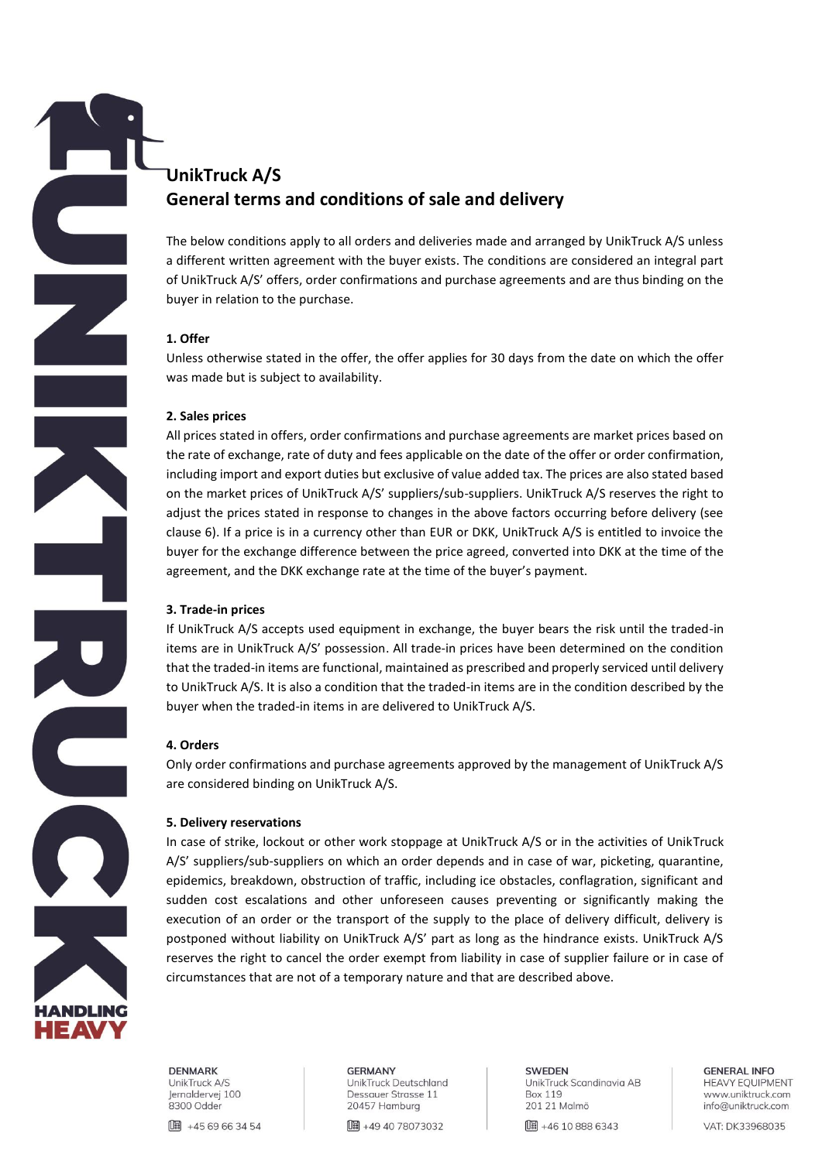# **UnikTruck A/S General terms and conditions of sale and delivery**

The below conditions apply to all orders and deliveries made and arranged by UnikTruck A/S unless a different written agreement with the buyer exists. The conditions are considered an integral part of UnikTruck A/S' offers, order confirmations and purchase agreements and are thus binding on the buyer in relation to the purchase.

## **1. Offer**

Unless otherwise stated in the offer, the offer applies for 30 days from the date on which the offer was made but is subject to availability.

## **2. Sales prices**

All prices stated in offers, order confirmations and purchase agreements are market prices based on the rate of exchange, rate of duty and fees applicable on the date of the offer or order confirmation, including import and export duties but exclusive of value added tax. The prices are also stated based on the market prices of UnikTruck A/S' suppliers/sub-suppliers. UnikTruck A/S reserves the right to adjust the prices stated in response to changes in the above factors occurring before delivery (see clause 6). If a price is in a currency other than EUR or DKK, UnikTruck A/S is entitled to invoice the buyer for the exchange difference between the price agreed, converted into DKK at the time of the agreement, and the DKK exchange rate at the time of the buyer's payment.

# **3. Trade-in prices**

If UnikTruck A/S accepts used equipment in exchange, the buyer bears the risk until the traded-in items are in UnikTruck A/S' possession. All trade-in prices have been determined on the condition that the traded-in items are functional, maintained as prescribed and properly serviced until delivery to UnikTruck A/S. It is also a condition that the traded-in items are in the condition described by the buyer when the traded-in items in are delivered to UnikTruck A/S.

# **4. Orders**

Only order confirmations and purchase agreements approved by the management of UnikTruck A/S are considered binding on UnikTruck A/S.

# **5. Delivery reservations**

In case of strike, lockout or other work stoppage at UnikTruck A/S or in the activities of UnikTruck A/S' suppliers/sub-suppliers on which an order depends and in case of war, picketing, quarantine, epidemics, breakdown, obstruction of traffic, including ice obstacles, conflagration, significant and sudden cost escalations and other unforeseen causes preventing or significantly making the execution of an order or the transport of the supply to the place of delivery difficult, delivery is postponed without liability on UnikTruck A/S' part as long as the hindrance exists. UnikTruck A/S reserves the right to cancel the order exempt from liability in case of supplier failure or in case of circumstances that are not of a temporary nature and that are described above.



**DENMARK** UnikTruck A/S Jernaldervej 100 8300 Odder

□■ +45 69 66 34 54

**GERMANY** UnikTruck Deutschland Dessauer Strasse 11 20457 Hamburg

**[ # 49 40 78073032** 

**SWEDEN** UnikTruck Scandinavia AB **Box 119** 201 21 Malmö

**Ⅱ +46 10 888 6343** 

**GENERAL INFO HEAVY EQUIPMENT** www.uniktruck.com info@uniktruck.com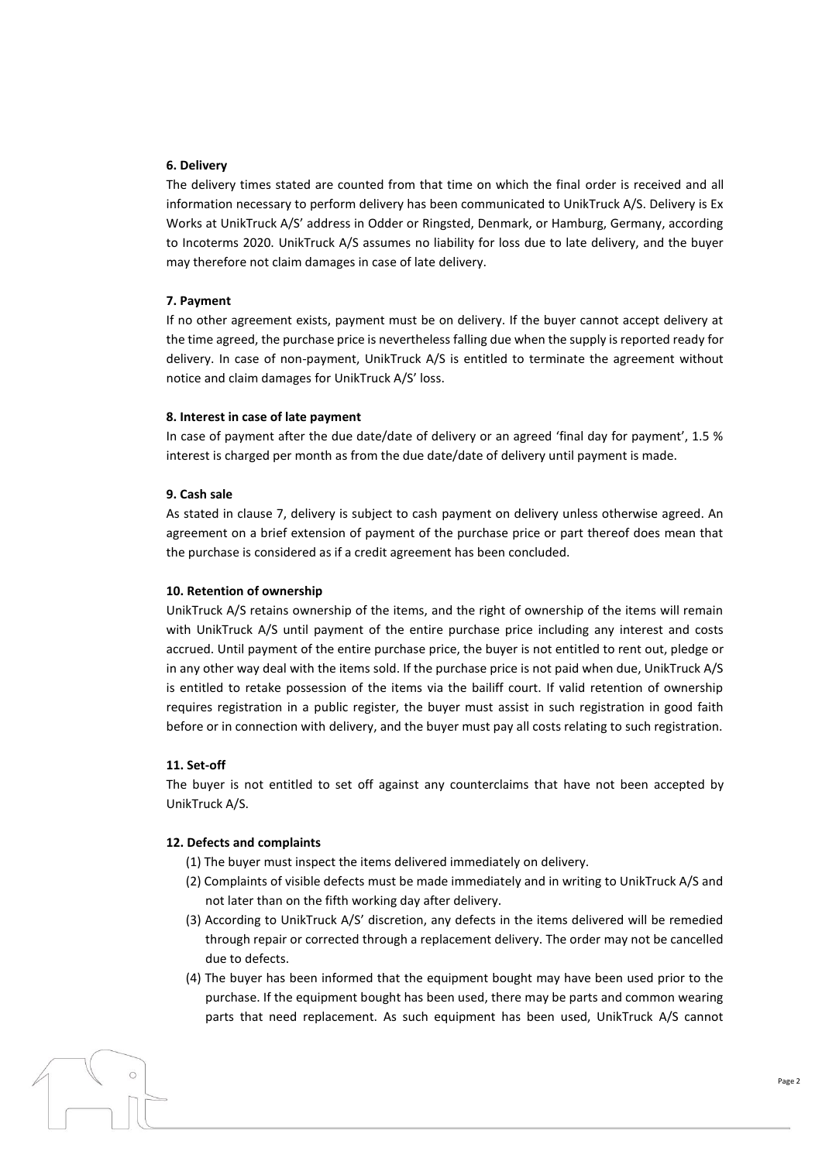### **6. Delivery**

The delivery times stated are counted from that time on which the final order is received and all information necessary to perform delivery has been communicated to UnikTruck A/S. Delivery is Ex Works at UnikTruck A/S' address in Odder or Ringsted, Denmark, or Hamburg, Germany, according to Incoterms 2020. UnikTruck A/S assumes no liability for loss due to late delivery, and the buyer may therefore not claim damages in case of late delivery.

#### **7. Payment**

If no other agreement exists, payment must be on delivery. If the buyer cannot accept delivery at the time agreed, the purchase price is nevertheless falling due when the supply is reported ready for delivery. In case of non-payment, UnikTruck A/S is entitled to terminate the agreement without notice and claim damages for UnikTruck A/S' loss.

#### **8. Interest in case of late payment**

In case of payment after the due date/date of delivery or an agreed 'final day for payment', 1.5 % interest is charged per month as from the due date/date of delivery until payment is made.

#### **9. Cash sale**

As stated in clause 7, delivery is subject to cash payment on delivery unless otherwise agreed. An agreement on a brief extension of payment of the purchase price or part thereof does mean that the purchase is considered as if a credit agreement has been concluded.

#### **10. Retention of ownership**

UnikTruck A/S retains ownership of the items, and the right of ownership of the items will remain with UnikTruck A/S until payment of the entire purchase price including any interest and costs accrued. Until payment of the entire purchase price, the buyer is not entitled to rent out, pledge or in any other way deal with the items sold. If the purchase price is not paid when due, UnikTruck A/S is entitled to retake possession of the items via the bailiff court. If valid retention of ownership requires registration in a public register, the buyer must assist in such registration in good faith before or in connection with delivery, and the buyer must pay all costs relating to such registration.

#### **11. Set-off**

The buyer is not entitled to set off against any counterclaims that have not been accepted by UnikTruck A/S.

#### **12. Defects and complaints**

- (1) The buyer must inspect the items delivered immediately on delivery.
- (2) Complaints of visible defects must be made immediately and in writing to UnikTruck A/S and not later than on the fifth working day after delivery.
- (3) According to UnikTruck A/S' discretion, any defects in the items delivered will be remedied through repair or corrected through a replacement delivery. The order may not be cancelled due to defects.
- (4) The buyer has been informed that the equipment bought may have been used prior to the purchase. If the equipment bought has been used, there may be parts and common wearing parts that need replacement. As such equipment has been used, UnikTruck A/S cannot